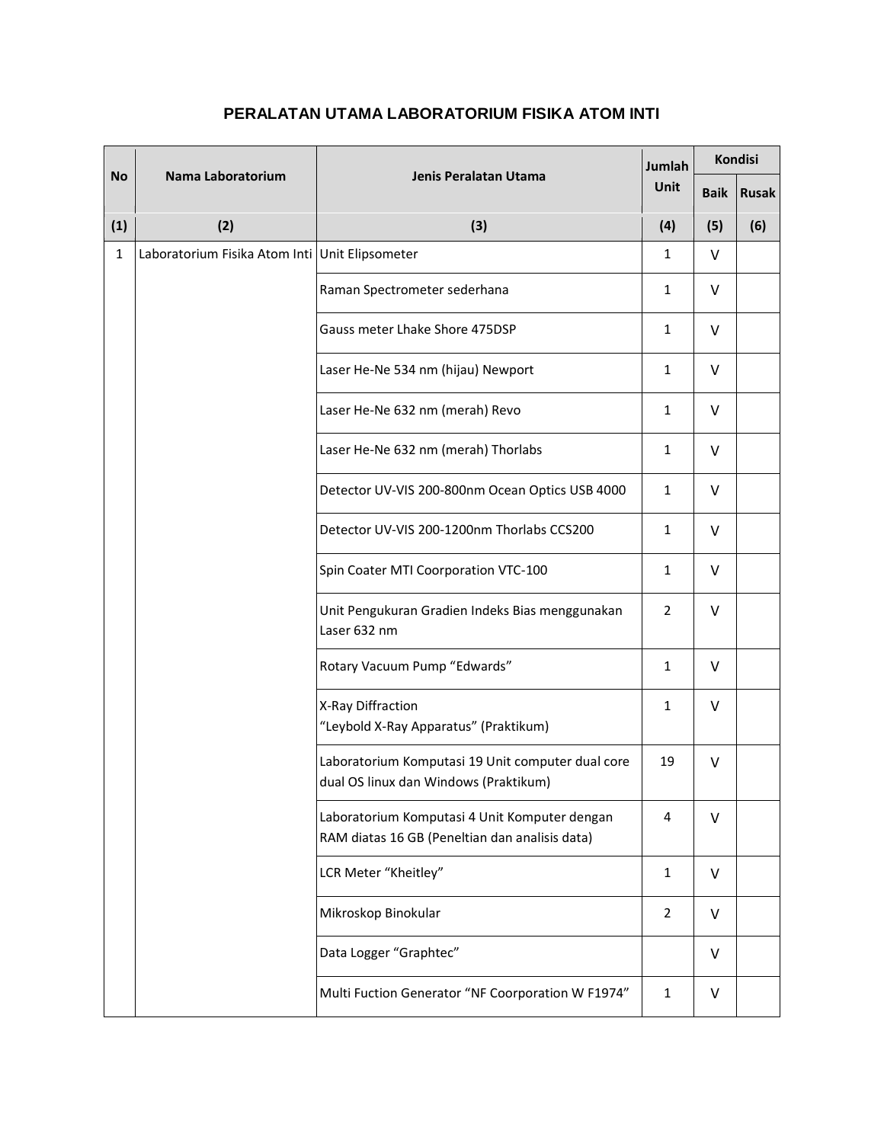## **PERALATAN UTAMA LABORATORIUM FISIKA ATOM INTI**

| <b>No</b>    | Nama Laboratorium                              | Jenis Peralatan Utama                                                                           | Jumlah<br><b>Unit</b> | <b>Kondisi</b> |              |
|--------------|------------------------------------------------|-------------------------------------------------------------------------------------------------|-----------------------|----------------|--------------|
|              |                                                |                                                                                                 |                       | <b>Baik</b>    | <b>Rusak</b> |
| (1)          | (2)                                            | (3)                                                                                             | (4)                   | (5)            | (6)          |
| $\mathbf{1}$ | Laboratorium Fisika Atom Inti Unit Elipsometer |                                                                                                 | 1                     | V              |              |
|              |                                                | Raman Spectrometer sederhana                                                                    | 1                     | V              |              |
|              |                                                | Gauss meter Lhake Shore 475DSP                                                                  | 1                     | V              |              |
|              |                                                | Laser He-Ne 534 nm (hijau) Newport                                                              | $\mathbf{1}$          | $\vee$         |              |
|              |                                                | Laser He-Ne 632 nm (merah) Revo                                                                 | 1                     | V              |              |
|              |                                                | Laser He-Ne 632 nm (merah) Thorlabs                                                             | 1                     | V              |              |
|              |                                                | Detector UV-VIS 200-800nm Ocean Optics USB 4000                                                 | 1                     | V              |              |
|              |                                                | Detector UV-VIS 200-1200nm Thorlabs CCS200                                                      | 1                     | V              |              |
|              |                                                | Spin Coater MTI Coorporation VTC-100                                                            | $\mathbf{1}$          | V              |              |
|              |                                                | Unit Pengukuran Gradien Indeks Bias menggunakan<br>Laser 632 nm                                 | $\overline{2}$        | V              |              |
|              |                                                | Rotary Vacuum Pump "Edwards"                                                                    | $\mathbf{1}$          | v              |              |
|              |                                                | X-Ray Diffraction<br>"Leybold X-Ray Apparatus" (Praktikum)                                      | 1                     | V              |              |
|              |                                                | Laboratorium Komputasi 19 Unit computer dual core<br>dual OS linux dan Windows (Praktikum)      | 19                    | V              |              |
|              |                                                | Laboratorium Komputasi 4 Unit Komputer dengan<br>RAM diatas 16 GB (Peneltian dan analisis data) | 4                     | V              |              |
|              |                                                | LCR Meter "Kheitley"                                                                            | $\mathbf{1}$          | V              |              |
|              |                                                | Mikroskop Binokular                                                                             | $\overline{2}$        | v              |              |
|              |                                                | Data Logger "Graphtec"                                                                          |                       | V              |              |
|              |                                                | Multi Fuction Generator "NF Coorporation W F1974"                                               | $\mathbf{1}$          | V              |              |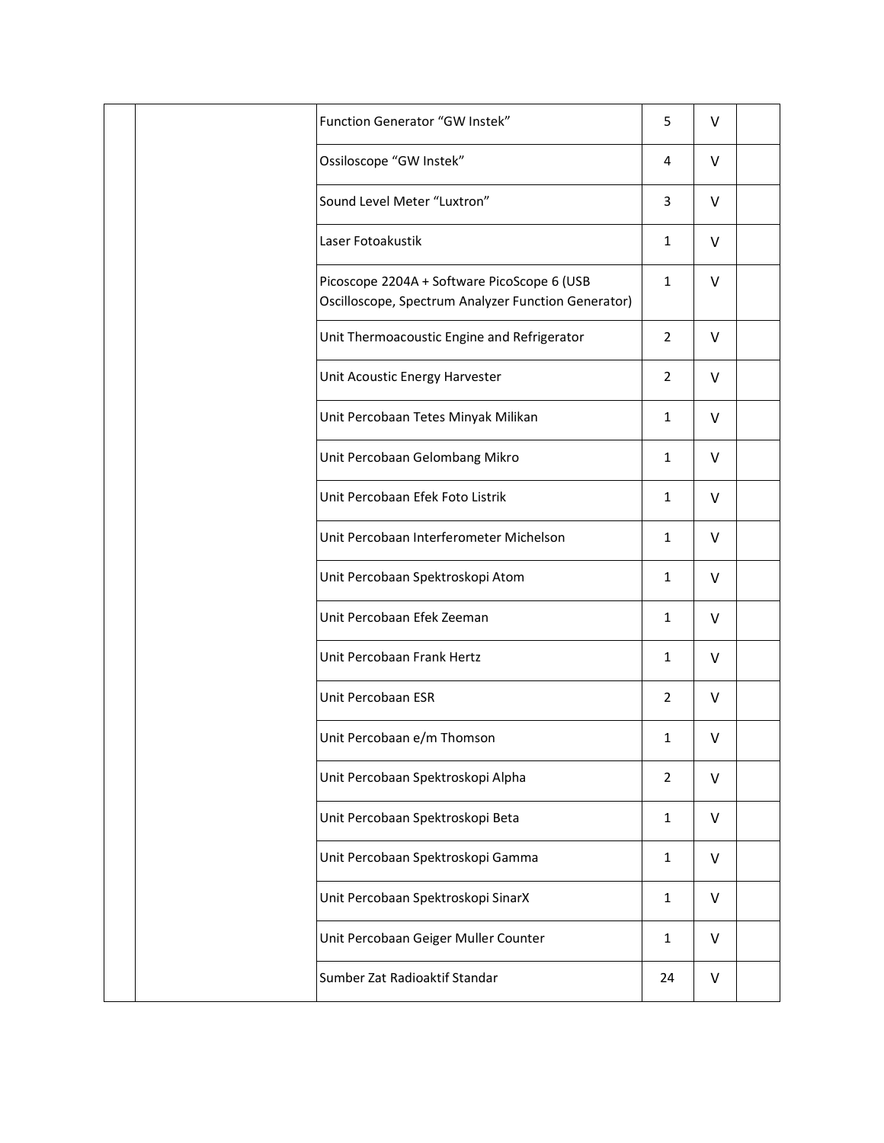|  | Function Generator "GW Instek"                                                                     | 5              | V      |  |
|--|----------------------------------------------------------------------------------------------------|----------------|--------|--|
|  | Ossiloscope "GW Instek"                                                                            | 4              | $\vee$ |  |
|  | Sound Level Meter "Luxtron"                                                                        | 3              | V      |  |
|  | Laser Fotoakustik                                                                                  | 1              | $\vee$ |  |
|  | Picoscope 2204A + Software PicoScope 6 (USB<br>Oscilloscope, Spectrum Analyzer Function Generator) | 1              | $\vee$ |  |
|  | Unit Thermoacoustic Engine and Refrigerator                                                        | $\overline{2}$ | V      |  |
|  | Unit Acoustic Energy Harvester                                                                     | $\overline{2}$ | $\vee$ |  |
|  | Unit Percobaan Tetes Minyak Milikan                                                                | 1              | V      |  |
|  | Unit Percobaan Gelombang Mikro                                                                     | $\mathbf{1}$   | V      |  |
|  | Unit Percobaan Efek Foto Listrik                                                                   | 1              | V      |  |
|  | Unit Percobaan Interferometer Michelson                                                            | 1              | $\vee$ |  |
|  | Unit Percobaan Spektroskopi Atom                                                                   | 1              | V      |  |
|  | Unit Percobaan Efek Zeeman                                                                         | $\mathbf{1}$   | V      |  |
|  | Unit Percobaan Frank Hertz                                                                         | 1              | V      |  |
|  | Unit Percobaan ESR                                                                                 | $\overline{2}$ | V      |  |
|  | Unit Percobaan e/m Thomson                                                                         | $\mathbf{1}$   | v      |  |
|  | Unit Percobaan Spektroskopi Alpha                                                                  | $\overline{2}$ | $\vee$ |  |
|  | Unit Percobaan Spektroskopi Beta                                                                   | $\mathbf{1}$   | V      |  |
|  | Unit Percobaan Spektroskopi Gamma                                                                  | $\mathbf{1}$   | $\vee$ |  |
|  | Unit Percobaan Spektroskopi SinarX                                                                 | $\mathbf{1}$   | V      |  |
|  | Unit Percobaan Geiger Muller Counter                                                               | $\mathbf{1}$   | V      |  |
|  | Sumber Zat Radioaktif Standar                                                                      | 24             | V      |  |